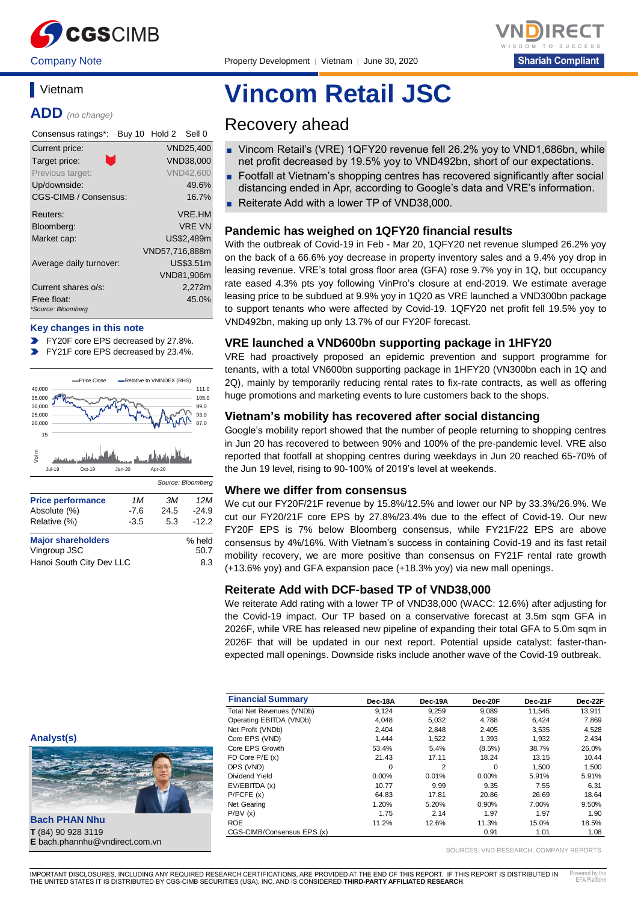

Company Note Property Development │ Vietnam │ June 30, 2020



# **Vietnam**

**ADD** *(no change)*

| Consensus ratings*:               | Buy 10 Hold 2 Sell 0 |
|-----------------------------------|----------------------|
| Current price:                    | <b>VND25,400</b>     |
| n.<br>Target price:               | VND38,000            |
| Previous target:                  | <b>VND42.600</b>     |
| Up/downside:                      | 49.6%                |
| CGS-CIMB / Consensus:             | 16.7%                |
| Reuters:                          | VRF.HM               |
| Bloomberg:                        | <b>VRF VN</b>        |
| Market cap:                       | US\$2,489m           |
|                                   | VND57,716,888m       |
| Average daily turnover:           | US\$3.51m            |
|                                   | VND81,906m           |
| Current shares o/s:               | 2,272m               |
| Free float:<br>*Source: Bloomberg | 45.0%                |

#### **Key changes in this note**

- FY20F core EPS decreased by 27.8%.
- $\blacktriangleright$ FY21F core EPS decreased by 23.4%.



| <b>Major shareholders</b> | % held |
|---------------------------|--------|
| Vingroup JSC              | 50.7   |
| Hanoi South City Dev LLC  | 8.3    |

# **Vincom Retail JSC**

# Recovery ahead

- Vincom Retail's (VRE) 1QFY20 revenue fell 26.2% yoy to VND1,686bn, while net profit decreased by 19.5% yoy to VND492bn, short of our expectations.
- Footfall at Vietnam's shopping centres has recovered significantly after social distancing ended in Apr, according to Google's data and VRE's information.
- Reiterate Add with a lower TP of VND38,000.

# **Pandemic has weighed on 1QFY20 financial results**

With the outbreak of Covid-19 in Feb - Mar 20, 1QFY20 net revenue slumped 26.2% yoy on the back of a 66.6% yoy decrease in property inventory sales and a 9.4% yoy drop in leasing revenue. VRE's total gross floor area (GFA) rose 9.7% yoy in 1Q, but occupancy rate eased 4.3% pts yoy following VinPro's closure at end-2019. We estimate average leasing price to be subdued at 9.9% yoy in 1Q20 as VRE launched a VND300bn package to support tenants who were affected by Covid-19. 1QFY20 net profit fell 19.5% yoy to VND492bn, making up only 13.7% of our FY20F forecast.

## **VRE launched a VND600bn supporting package in 1HFY20**

VRE had proactively proposed an epidemic prevention and support programme for tenants, with a total VN600bn supporting package in 1HFY20 (VN300bn each in 1Q and 2Q), mainly by temporarily reducing rental rates to fix-rate contracts, as well as offering huge promotions and marketing events to lure customers back to the shops.

# **Vietnam's mobility has recovered after social distancing**

Google's mobility report showed that the number of people returning to shopping centres in Jun 20 has recovered to between 90% and 100% of the pre-pandemic level. VRE also reported that footfall at shopping centres during weekdays in Jun 20 reached 65-70% of the Jun 19 level, rising to 90-100% of 2019's level at weekends.

### **Where we differ from consensus**

We cut our FY20F/21F revenue by 15.8%/12.5% and lower our NP by 33.3%/26.9%. We cut our FY20/21F core EPS by 27.8%/23.4% due to the effect of Covid-19. Our new FY20F EPS is 7% below Bloomberg consensus, while FY21F/22 EPS are above consensus by 4%/16%. With Vietnam's success in containing Covid-19 and its fast retail mobility recovery, we are more positive than consensus on FY21F rental rate growth (+13.6% yoy) and GFA expansion pace (+18.3% yoy) via new mall openings.

# **Reiterate Add with DCF-based TP of VND38,000**

We reiterate Add rating with a lower TP of VND38,000 (WACC: 12.6%) after adjusting for the Covid-19 impact. Our TP based on a conservative forecast at 3.5m sqm GFA in 2026F, while VRE has released new pipeline of expanding their total GFA to 5.0m sqm in 2026F that will be updated in our next report. Potential upside catalyst: faster-thanexpected mall openings. Downside risks include another wave of the Covid-19 outbreak.

| <b>Financial Summary</b>   | Dec-18A  | Dec-19A | Dec-20F   | Dec-21F | Dec-22F |
|----------------------------|----------|---------|-----------|---------|---------|
| Total Net Revenues (VNDb)  | 9.124    | 9,259   | 9,089     | 11.545  | 13,911  |
| Operating EBITDA (VNDb)    | 4,048    | 5,032   | 4,788     | 6.424   | 7,869   |
| Net Profit (VNDb)          | 2.404    | 2,848   | 2,405     | 3,535   | 4,528   |
| Core EPS (VND)             | 1.444    | 1,522   | 1,393     | 1.932   | 2,434   |
| Core EPS Growth            | 53.4%    | 5.4%    | $(8.5\%)$ | 38.7%   | 26.0%   |
| FD Core $P/E(x)$           | 21.43    | 17.11   | 18.24     | 13.15   | 10.44   |
| DPS (VND)                  | $\Omega$ | 2       | $\Omega$  | 1.500   | 1.500   |
| Dividend Yield             | 0.00%    | 0.01%   | $0.00\%$  | 5.91%   | 5.91%   |
| EV/EBITDA (x)              | 10.77    | 9.99    | 9.35      | 7.55    | 6.31    |
| P/FCFE(x)                  | 64.83    | 17.81   | 20.86     | 26.69   | 18.64   |
| Net Gearing                | 1.20%    | 5.20%   | 0.90%     | 7.00%   | 9.50%   |
| P/BV(x)                    | 1.75     | 2.14    | 1.97      | 1.97    | 1.90    |
| <b>ROE</b>                 | 11.2%    | 12.6%   | 11.3%     | 15.0%   | 18.5%   |
| CGS-CIMB/Consensus EPS (x) |          |         | 0.91      | 1.01    | 1.08    |

**Analyst(s)**



**Bach PHAN Nhu T** (84) 90 928 3119 **E** bach.phannhu@vndirect.com.vn

SOURCES: VND RESEARCH, COMPANY REPORTS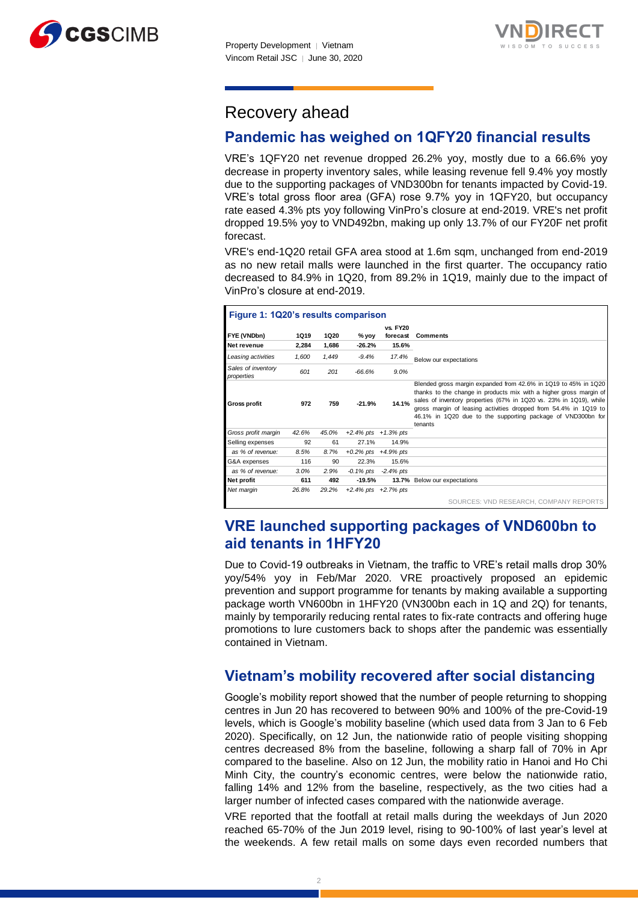



# Recovery ahead

# **Pandemic has weighed on 1QFY20 financial results**

VRE's 1QFY20 net revenue dropped 26.2% yoy, mostly due to a 66.6% yoy decrease in property inventory sales, while leasing revenue fell 9.4% yoy mostly due to the supporting packages of VND300bn for tenants impacted by Covid-19. VRE's total gross floor area (GFA) rose 9.7% yoy in 1QFY20, but occupancy rate eased 4.3% pts yoy following VinPro's closure at end-2019. VRE's net profit dropped 19.5% yoy to VND492bn, making up only 13.7% of our FY20F net profit forecast.

VRE's end-1Q20 retail GFA area stood at 1.6m sqm, unchanged from end-2019 as no new retail malls were launched in the first quarter. The occupancy ratio decreased to 84.9% in 1Q20, from 89.2% in 1Q19, mainly due to the impact of VinPro's closure at end-2019.

| Figure 1: 1Q20's results comparison |       |       |                           |                           |                                                                                                                                                                                                                                                                                                                                                           |
|-------------------------------------|-------|-------|---------------------------|---------------------------|-----------------------------------------------------------------------------------------------------------------------------------------------------------------------------------------------------------------------------------------------------------------------------------------------------------------------------------------------------------|
|                                     |       |       |                           | <b>vs. FY20</b>           |                                                                                                                                                                                                                                                                                                                                                           |
| FYE (VNDbn)                         | 1Q19  | 1Q20  | % yoy                     | forecast                  | <b>Comments</b>                                                                                                                                                                                                                                                                                                                                           |
| Net revenue                         | 2,284 | 1,686 | $-26.2%$                  | 15.6%                     |                                                                                                                                                                                                                                                                                                                                                           |
| Leasing activities                  | 1,600 | 1,449 | $-9.4%$                   | 17.4%                     | Below our expectations                                                                                                                                                                                                                                                                                                                                    |
| Sales of inventory<br>properties    | 601   | 201   | $-66.6%$                  | 9.0%                      |                                                                                                                                                                                                                                                                                                                                                           |
| <b>Gross profit</b>                 | 972   | 759   | $-21.9%$                  | 14.1%                     | Blended gross margin expanded from 42.6% in 1Q19 to 45% in 1Q20<br>thanks to the change in products mix with a higher gross margin of<br>sales of inventory properties (67% in 1Q20 vs. 23% in 1Q19), while<br>gross margin of leasing activities dropped from 54.4% in 1Q19 to<br>46.1% in 1Q20 due to the supporting package of VND300bn for<br>tenants |
| Gross profit margin                 | 42.6% | 45.0% | $+2.4\%$ pts $+1.3\%$ pts |                           |                                                                                                                                                                                                                                                                                                                                                           |
| Selling expenses                    | 92    | 61    | 27.1%                     | 14.9%                     |                                                                                                                                                                                                                                                                                                                                                           |
| as % of revenue:                    | 8.5%  | 8.7%  | $+0.2\%$ pts $+4.9\%$ pts |                           |                                                                                                                                                                                                                                                                                                                                                           |
| G&A expenses                        | 116   | 90    | 22.3%                     | 15.6%                     |                                                                                                                                                                                                                                                                                                                                                           |
| as % of revenue:                    | 3.0%  | 2.9%  |                           | $-0.1\%$ pts $-2.4\%$ pts |                                                                                                                                                                                                                                                                                                                                                           |
| Net profit                          | 611   | 492   | $-19.5%$                  |                           | 13.7% Below our expectations                                                                                                                                                                                                                                                                                                                              |
| Net margin                          | 26.8% | 29.2% | $+2.4\%$ pts $+2.7\%$ pts |                           |                                                                                                                                                                                                                                                                                                                                                           |
|                                     |       |       |                           |                           | SOURCES: VND RESEARCH, COMPANY REPORTS                                                                                                                                                                                                                                                                                                                    |

# **VRE launched supporting packages of VND600bn to aid tenants in 1HFY20**

Due to Covid-19 outbreaks in Vietnam, the traffic to VRE's retail malls drop 30% yoy/54% yoy in Feb/Mar 2020. VRE proactively proposed an epidemic prevention and support programme for tenants by making available a supporting package worth VN600bn in 1HFY20 (VN300bn each in 1Q and 2Q) for tenants, mainly by temporarily reducing rental rates to fix-rate contracts and offering huge promotions to lure customers back to shops after the pandemic was essentially contained in Vietnam.

# **Vietnam's mobility recovered after social distancing**

Google's mobility report showed that the number of people returning to shopping centres in Jun 20 has recovered to between 90% and 100% of the pre-Covid-19 levels, which is Google's mobility baseline (which used data from 3 Jan to 6 Feb 2020). Specifically, on 12 Jun, the nationwide ratio of people visiting shopping centres decreased 8% from the baseline, following a sharp fall of 70% in Apr compared to the baseline. Also on 12 Jun, the mobility ratio in Hanoi and Ho Chi Minh City, the country's economic centres, were below the nationwide ratio, falling 14% and 12% from the baseline, respectively, as the two cities had a larger number of infected cases compared with the nationwide average.

VRE reported that the footfall at retail malls during the weekdays of Jun 2020 reached 65-70% of the Jun 2019 level, rising to 90-100% of last year's level at the weekends. A few retail malls on some days even recorded numbers that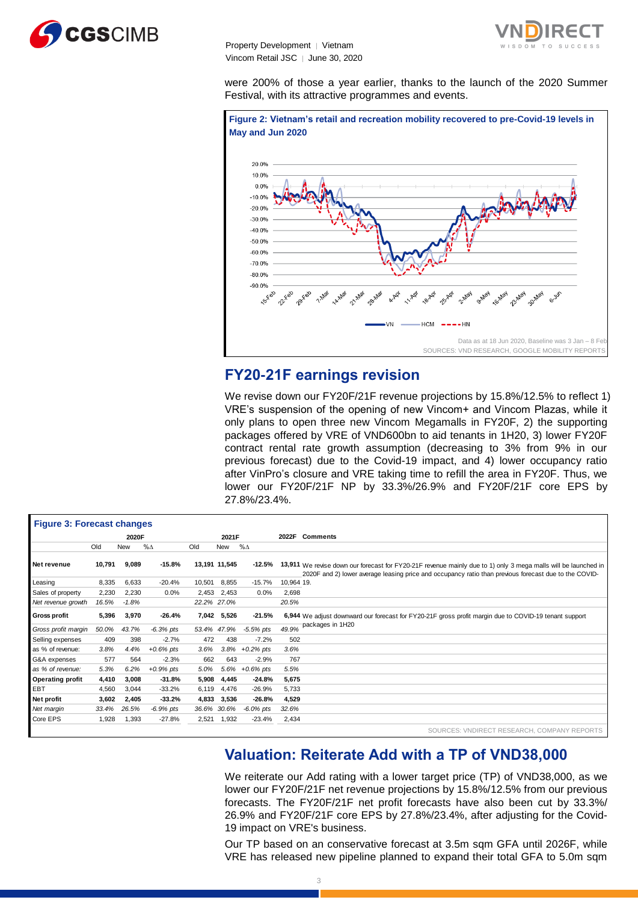

were 200% of those a year earlier, thanks to the launch of the 2020 Summer Festival, with its attractive programmes and events.



# **FY20-21F earnings revision**

We revise down our FY20F/21F revenue projections by 15.8%/12.5% to reflect 1) VRE's suspension of the opening of new Vincom+ and Vincom Plazas, while it only plans to open three new Vincom Megamalls in FY20F, 2) the supporting packages offered by VRE of VND600bn to aid tenants in 1H20, 3) lower FY20F contract rental rate growth assumption (decreasing to 3% from 9% in our previous forecast) due to the Covid-19 impact, and 4) lower occupancy ratio after VinPro's closure and VRE taking time to refill the area in FY20F. Thus, we lower our FY20F/21F NP by 33.3%/26.9% and FY20F/21F core EPS by 27.8%/23.4%.

|                                   |        |         |              |        |               | 27.8%/23.4%.       |            | IOWEI OUI FIZUF/ZIF INF DV 33.3%/Z0.9% aNU FIZUF/ZIF COIE EPS DV                                                                                                                                                        |
|-----------------------------------|--------|---------|--------------|--------|---------------|--------------------|------------|-------------------------------------------------------------------------------------------------------------------------------------------------------------------------------------------------------------------------|
| <b>Figure 3: Forecast changes</b> |        |         |              |        |               |                    |            |                                                                                                                                                                                                                         |
|                                   |        | 2020F   |              |        | 2021F         |                    | 2022F      | <b>Comments</b>                                                                                                                                                                                                         |
|                                   | Old    | New     | $\% \Delta$  | Old    | <b>New</b>    | $% \Delta$         |            |                                                                                                                                                                                                                         |
| Net revenue                       | 10,791 | 9,089   | $-15.8%$     |        | 13,191 11,545 | -12.5%             |            | 13,911 We revise down our forecast for FY20-21F revenue mainly due to 1) only 3 mega malls will be launched in<br>2020F and 2) lower average leasing price and occupancy ratio than previous forecast due to the COVID- |
| Leasing                           | 8,335  | 6,633   | $-20.4%$     | 10,501 | 8,855         | $-15.7%$           | 10,964 19. |                                                                                                                                                                                                                         |
| Sales of property                 | 2,230  | 2,230   | 0.0%         |        | 2,453 2,453   | 0.0%               | 2,698      |                                                                                                                                                                                                                         |
| Net revenue growth                | 16.5%  | $-1.8%$ |              |        | 22.2% 27.0%   |                    | 20.5%      |                                                                                                                                                                                                                         |
| <b>Gross profit</b>               | 5,396  | 3,970   | $-26.4%$     |        | 7,042 5,526   | $-21.5%$           |            | 6,944 We adjust downward our forecast for FY20-21F gross profit margin due to COVID-19 tenant support                                                                                                                   |
| Gross profit margin               | 50.0%  | 43.7%   | $-6.3%$ pts  |        | 53.4% 47.9%   | $-5.5\%$ pts       | 49.9%      | packages in 1H20                                                                                                                                                                                                        |
| Selling expenses                  | 409    | 398     | $-2.7%$      | 472    | 438           | $-7.2%$            | 502        |                                                                                                                                                                                                                         |
| as % of revenue:                  | 3.8%   | 4.4%    | $+0.6\%$ pts | 3.6%   |               | $3.8\% +0.2\%$ pts | 3.6%       |                                                                                                                                                                                                                         |
| G&A expenses                      | 577    | 564     | $-2.3%$      | 662    | 643           | $-2.9%$            | 767        |                                                                                                                                                                                                                         |
| as % of revenue:                  | 5.3%   | 6.2%    | $+0.9%$ pts  | 5.0%   |               | 5.6% +0.6% pts     | 5.5%       |                                                                                                                                                                                                                         |
| <b>Operating profit</b>           | 4,410  | 3,008   | $-31.8%$     | 5,908  | 4,445         | $-24.8%$           | 5.675      |                                                                                                                                                                                                                         |
| <b>EBT</b>                        | 4,560  | 3,044   | $-33.2%$     | 6,119  | 4,476         | $-26.9%$           | 5,733      |                                                                                                                                                                                                                         |
| Net profit                        | 3,602  | 2,405   | $-33.2%$     | 4,833  | 3,536         | $-26.8%$           | 4,529      |                                                                                                                                                                                                                         |
| Net margin                        | 33.4%  | 26.5%   | $-6.9%$ pts  |        | 36.6% 30.6%   | $-6.0\%$ pts       | 32.6%      |                                                                                                                                                                                                                         |
| Core EPS                          | 1,928  | 1,393   | $-27.8%$     | 2,521  | 1,932         | $-23.4%$           | 2,434      |                                                                                                                                                                                                                         |
|                                   |        |         |              |        |               |                    |            | SOURCES: VNDIRECT RESEARCH, COMPANY REPORTS                                                                                                                                                                             |

# **Valuation: Reiterate Add with a TP of VND38,000**

We reiterate our Add rating with a lower target price (TP) of VND38,000, as we lower our FY20F/21F net revenue projections by 15.8%/12.5% from our previous forecasts. The FY20F/21F net profit forecasts have also been cut by 33.3%/ 26.9% and FY20F/21F core EPS by 27.8%/23.4%, after adjusting for the Covid-19 impact on VRE's business.

Our TP based on an conservative forecast at 3.5m sqm GFA until 2026F, while VRE has released new pipeline planned to expand their total GFA to 5.0m sqm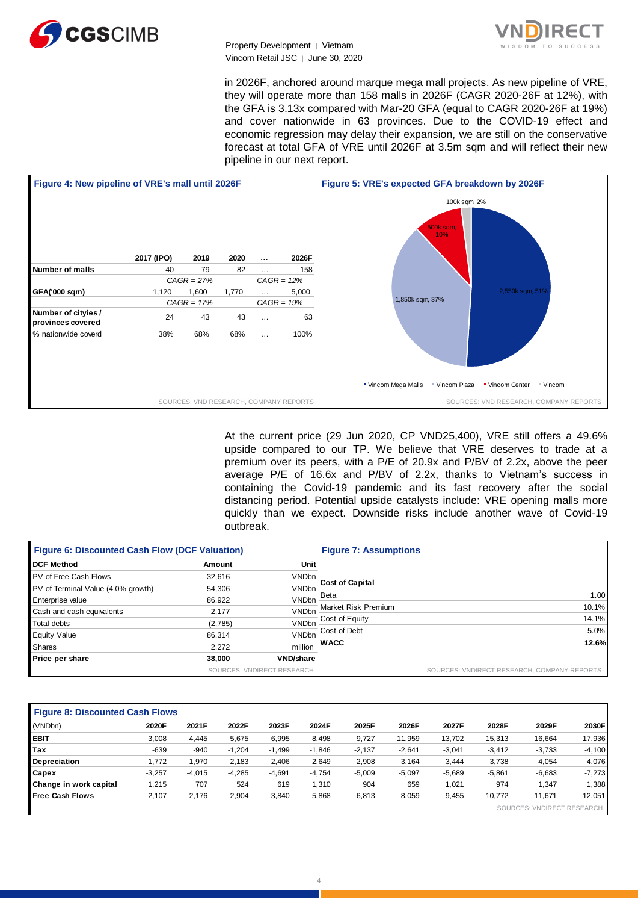



in 2026F, anchored around marque mega mall projects. As new pipeline of VRE, they will operate more than 158 malls in 2026F (CAGR 2020-26F at 12%), with the GFA is 3.13x compared with Mar-20 GFA (equal to CAGR 2020-26F at 19%) and cover nationwide in 63 provinces. Due to the COVID-19 effect and economic regression may delay their expansion, we are still on the conservative forecast at total GFA of VRE until 2026F at 3.5m sqm and will reflect their new pipeline in our next report.



At the current price (29 Jun 2020, CP VND25,400), VRE still offers a 49.6% upside compared to our TP. We believe that VRE deserves to trade at a premium over its peers, with a P/E of 20.9x and P/BV of 2.2x, above the peer average P/E of 16.6x and P/BV of 2.2x, thanks to Vietnam's success in containing the Covid-19 pandemic and its fast recovery after the social distancing period. Potential upside catalysts include: VRE opening malls more quickly than we expect. Downside risks include another wave of Covid-19 outbreak.

| <b>Figure 6: Discounted Cash Flow (DCF Valuation)</b> |         |                            | <b>Figure 7: Assumptions</b> |                                             |  |  |  |  |
|-------------------------------------------------------|---------|----------------------------|------------------------------|---------------------------------------------|--|--|--|--|
| <b>DCF Method</b>                                     | Amount  | Unit                       |                              |                                             |  |  |  |  |
| PV of Free Cash Flows                                 | 32.616  | <b>VNDbn</b>               |                              |                                             |  |  |  |  |
| PV of Terminal Value (4.0% growth)                    | 54,306  | <b>VNDbn</b>               | <b>Cost of Capital</b>       |                                             |  |  |  |  |
| <b>Enterprise value</b>                               | 86,922  | <b>VNDbn</b>               | Beta                         | 1.00                                        |  |  |  |  |
| Cash and cash equivalents                             | 2.177   | <b>VNDbn</b>               | Market Risk Premium          | 10.1%                                       |  |  |  |  |
| Total debts                                           | (2,785) | <b>VNDbn</b>               | Cost of Equity               | 14.1%                                       |  |  |  |  |
| <b>Equity Value</b>                                   | 86,314  | <b>VNDbn</b>               | Cost of Debt                 | 5.0%                                        |  |  |  |  |
| Shares                                                | 2.272   | million                    | <b>WACC</b>                  | 12.6%                                       |  |  |  |  |
| Price per share                                       | 38,000  | <b>VND/share</b>           |                              |                                             |  |  |  |  |
|                                                       |         | SOURCES: VNDIRECT RESEARCH |                              | SOURCES: VNDIRECT RESEARCH, COMPANY REPORTS |  |  |  |  |

| <b>Figure 8: Discounted Cash Flows</b> |          |          |          |          |          |          |          |          |          |                            |          |
|----------------------------------------|----------|----------|----------|----------|----------|----------|----------|----------|----------|----------------------------|----------|
| (VNDbn)                                | 2020F    | 2021F    | 2022F    | 2023F    | 2024F    | 2025F    | 2026F    | 2027F    | 2028F    | 2029F                      | 2030F    |
| <b>EBIT</b>                            | 3,008    | 4.445    | 5,675    | 6,995    | 8,498    | 9,727    | 11,959   | 13.702   | 15,313   | 16,664                     | 17,936   |
| Tax                                    | $-639$   | $-940$   | $-1,204$ | $-1,499$ | $-1,846$ | $-2,137$ | $-2,641$ | $-3,041$ | $-3,412$ | $-3,733$                   | $-4,100$ |
| <b>Depreciation</b>                    | 1.772    | 1.970    | 2.183    | 2,406    | 2,649    | 2,908    | 3,164    | 3.444    | 3,738    | 4,054                      | 4,076    |
| <b>Capex</b>                           | $-3.257$ | $-4.015$ | $-4,285$ | $-4,691$ | $-4,754$ | $-5,009$ | $-5,097$ | $-5,689$ | $-5,861$ | $-6,683$                   | $-7,273$ |
| Change in work capital                 | 1,215    | 707      | 524      | 619      | 1,310    | 904      | 659      | 1.021    | 974      | 1.347                      | 1,388    |
| <b>Free Cash Flows</b>                 | 2,107    | 2,176    | 2,904    | 3,840    | 5,868    | 6,813    | 8,059    | 9,455    | 10.772   | 11.671                     | 12,051   |
|                                        |          |          |          |          |          |          |          |          |          | SOURCES: VNDIRECT RESEARCH |          |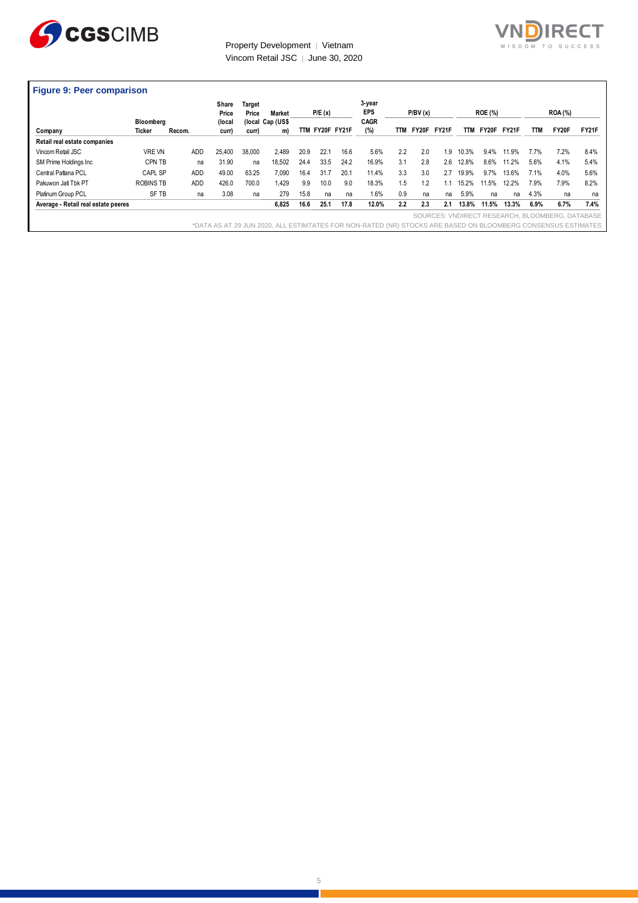



|                                     |                  |            | Share<br>Price | Target<br>Price | <b>Market</b>    |      | P/E(x)          |      | 3-year<br><b>EPS</b> |     | P/BV(x) |       |            | <b>ROE (%)</b> |       |      | <b>ROA</b> (%) |              |
|-------------------------------------|------------------|------------|----------------|-----------------|------------------|------|-----------------|------|----------------------|-----|---------|-------|------------|----------------|-------|------|----------------|--------------|
|                                     | Bloomberg        |            | (local         |                 | (local Cap (US\$ |      |                 |      | CAGR                 |     |         |       |            |                |       |      |                |              |
| Company                             | Ticker           | Recom.     | curr)          | curr)           | m)               |      | TTM FY20F FY21F |      | (%)                  | TTM | FY20F   | FY21F | <b>TTM</b> | FY20F          | FY21F | TTM  | FY20F          | <b>FY21F</b> |
| Retail real estate companies        |                  |            |                |                 |                  |      |                 |      |                      |     |         |       |            |                |       |      |                |              |
| Vincom Retail JSC                   | <b>VRE VN</b>    | <b>ADD</b> | 25.400         | 38,000          | 2.489            | 20.9 | 22.1            | 16.6 | 5.6%                 | 2.2 | 2.0     | 1.9   | 10.3%      | 9.4%           | 11.9% | 7.7% | 7.2%           | 8.4%         |
| SM Prime Holdings Inc               | CPN TB           | na         | 31.90          | na              | 18,502           | 24.4 | 33.5            | 24.2 | 16.9%                | 3.1 | 2.8     | 2.6   | 12.8%      | 8.6%           | 11.2% | 5.6% | 4.1%           | 5.4%         |
| Central Pattana PCL                 | CAPL SP          | <b>ADD</b> | 49.00          | 63.25           | 7,090            | 16.4 | 31.7            | 20.1 | 11.4%                | 3.3 | 3.0     | 2.7   | 19.9%      | 9.7%           | 13.6% | 7.1% | 4.0%           | 5.6%         |
| Pakuwon Jati Tbk PT                 | <b>ROBINS TB</b> | <b>ADD</b> | 426.0          | 700.0           | 1.429            | 9.9  | 10.0            | 9.0  | 18.3%                | 1.5 | 1.2     |       | 15.2%      | 11.5%          | 12.2% | 7.9% | 7.9%           | 8.2%         |
| Platinum Group PCL                  | SF TB            | na         | 3.08           | na              | 279              | 15.8 | na              | na   | 1.6%                 | 0.9 | na      | na    | 5.9%       | na             | na    | 4.3% | na             | na           |
| Average - Retail real estate peeres |                  |            |                |                 | 6,825            | 16.6 | 25.1            | 17.8 | 12.0%                | 2.2 | 2.3     | 2.1   | 13.8%      | 11.5%          | 13.3% | 6.9% | 6.7%           | 7.4%         |

5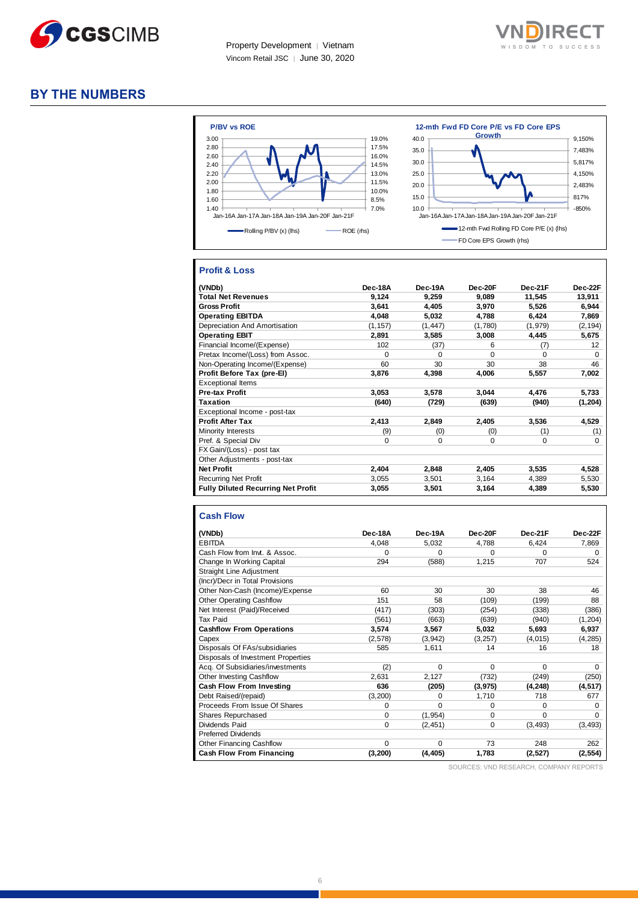



# **BY THE NUMBERS**



## **Profit & Loss**

| (VNDb)                                    | <b>Dec-18A</b> | Dec-19A  | $Dec-20F$ | Dec-21F  | Dec-22F  |
|-------------------------------------------|----------------|----------|-----------|----------|----------|
| <b>Total Net Revenues</b>                 | 9,124          | 9,259    | 9.089     | 11,545   | 13,911   |
| <b>Gross Profit</b>                       | 3.641          | 4.405    | 3,970     | 5.526    | 6,944    |
| <b>Operating EBITDA</b>                   | 4.048          | 5.032    | 4,788     | 6.424    | 7,869    |
| Depreciation And Amortisation             | (1, 157)       | (1, 447) | (1,780)   | (1,979)  | (2, 194) |
| <b>Operating EBIT</b>                     | 2,891          | 3,585    | 3,008     | 4,445    | 5,675    |
| Financial Income/(Expense)                | 102            | (37)     | 6         | (7)      | 12       |
| Pretax Income/(Loss) from Assoc.          | $\Omega$       | $\Omega$ | $\Omega$  | O        | $\Omega$ |
| Non-Operating Income/(Expense)            | 60             | 30       | 30        | 38       | 46       |
| Profit Before Tax (pre-El)                | 3.876          | 4,398    | 4.006     | 5,557    | 7.002    |
| <b>Exceptional Items</b>                  |                |          |           |          |          |
| <b>Pre-tax Profit</b>                     | 3,053          | 3,578    | 3,044     | 4.476    | 5,733    |
| <b>Taxation</b>                           | (640)          | (729)    | (639)     | (940)    | (1,204)  |
| Exceptional Income - post-tax             |                |          |           |          |          |
| <b>Profit After Tax</b>                   | 2,413          | 2,849    | 2,405     | 3,536    | 4,529    |
| Minority Interests                        | (9)            | (0)      | (0)       | (1)      | (1)      |
| Pref. & Special Div                       | $\Omega$       | $\Omega$ | 0         | $\Omega$ | $\Omega$ |
| FX Gain/(Loss) - post tax                 |                |          |           |          |          |
| Other Adjustments - post-tax              |                |          |           |          |          |
| <b>Net Profit</b>                         | 2,404          | 2,848    | 2,405     | 3,535    | 4,528    |
| <b>Recurring Net Profit</b>               | 3,055          | 3,501    | 3,164     | 4,389    | 5,530    |
| <b>Fully Diluted Recurring Net Profit</b> | 3,055          | 3,501    | 3,164     | 4,389    | 5,530    |

#### **Cash Flow**

| (VNDb)                             | Dec-18A  | Dec-19A  | Dec-20F     | Dec-21F  | Dec-22F  |
|------------------------------------|----------|----------|-------------|----------|----------|
| <b>EBITDA</b>                      | 4.048    | 5,032    | 4,788       | 6,424    | 7,869    |
| Cash Flow from Invt. & Assoc.      | $\Omega$ | $\Omega$ | $\Omega$    | $\Omega$ | 0        |
| Change In Working Capital          | 294      | (588)    | 1,215       | 707      | 524      |
| <b>Straight Line Adjustment</b>    |          |          |             |          |          |
| (Incr)/Decr in Total Provisions    |          |          |             |          |          |
| Other Non-Cash (Income)/Expense    | 60       | 30       | 30          | 38       | 46       |
| <b>Other Operating Cashflow</b>    | 151      | 58       | (109)       | (199)    | 88       |
| Net Interest (Paid)/Received       | (417)    | (303)    | (254)       | (338)    | (386)    |
| Tax Paid                           | (561)    | (663)    | (639)       | (940)    | (1, 204) |
| <b>Cashflow From Operations</b>    | 3,574    | 3,567    | 5,032       | 5,693    | 6,937    |
| Capex                              | (2,578)  | (3,942)  | (3,257)     | (4,015)  | (4, 285) |
| Disposals Of FAs/subsidiaries      | 585      | 1,611    | 14          | 16       | 18       |
| Disposals of Investment Properties |          |          |             |          |          |
| Acq. Of Subsidiaries/investments   | (2)      | $\Omega$ | $\mathbf 0$ | $\Omega$ | $\Omega$ |
| Other Investing Cashflow           | 2,631    | 2,127    | (732)       | (249)    | (250)    |
| <b>Cash Flow From Investing</b>    | 636      | (205)    | (3,975)     | (4, 248) | (4, 517) |
| Debt Raised/(repaid)               | (3,200)  | $\Omega$ | 1,710       | 718      | 677      |
| Proceeds From Issue Of Shares      | 0        | $\Omega$ | 0           | $\Omega$ | $\Omega$ |
| Shares Repurchased                 | 0        | (1, 954) | $\Omega$    | $\Omega$ | $\Omega$ |
| Dividends Paid                     | $\Omega$ | (2, 451) | 0           | (3, 493) | (3, 493) |
| <b>Preferred Dividends</b>         |          |          |             |          |          |
| <b>Other Financing Cashflow</b>    | $\Omega$ | $\Omega$ | 73          | 248      | 262      |
| <b>Cash Flow From Financing</b>    | (3,200)  | (4, 405) | 1,783       | (2,527)  | (2, 554) |

SOURCES: VND RESEARCH, COMPANY REPORTS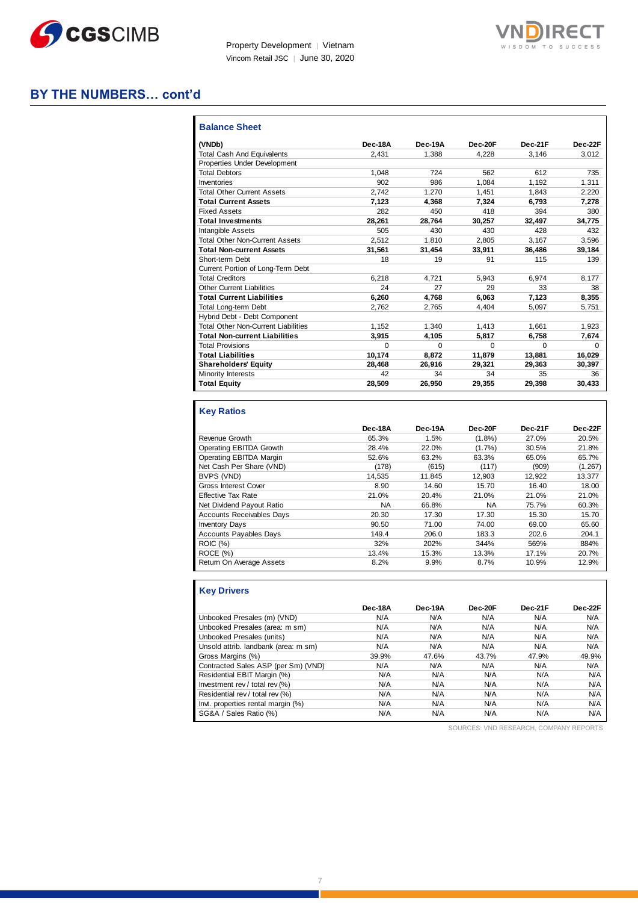



# **BY THE NUMBERS… cont'd**

| <b>Balance Sheet</b>                       |         |          |          |          |          |
|--------------------------------------------|---------|----------|----------|----------|----------|
| (VNDb)                                     | Dec-18A | Dec-19A  | Dec-20F  | Dec-21F  | Dec-22F  |
| <b>Total Cash And Equivalents</b>          | 2.431   | 1.388    | 4.228    | 3.146    | 3.012    |
| Properties Under Development               |         |          |          |          |          |
| <b>Total Debtors</b>                       | 1.048   | 724      | 562      | 612      | 735      |
| Inventories                                | 902     | 986      | 1.084    | 1.192    | 1,311    |
| <b>Total Other Current Assets</b>          | 2.742   | 1.270    | 1.451    | 1.843    | 2.220    |
| <b>Total Current Assets</b>                | 7.123   | 4.368    | 7.324    | 6.793    | 7,278    |
| <b>Fixed Assets</b>                        | 282     | 450      | 418      | 394      | 380      |
| <b>Total Investments</b>                   | 28.261  | 28.764   | 30.257   | 32,497   | 34.775   |
| <b>Intangible Assets</b>                   | 505     | 430      | 430      | 428      | 432      |
| <b>Total Other Non-Current Assets</b>      | 2.512   | 1.810    | 2.805    | 3,167    | 3.596    |
| <b>Total Non-current Assets</b>            | 31.561  | 31.454   | 33.911   | 36.486   | 39,184   |
| Short-term Debt                            | 18      | 19       | 91       | 115      | 139      |
| Current Portion of Long-Term Debt          |         |          |          |          |          |
| <b>Total Creditors</b>                     | 6.218   | 4.721    | 5.943    | 6.974    | 8.177    |
| Other Current Liabilities                  | 24      | 27       | 29       | 33       | 38       |
| <b>Total Current Liabilities</b>           | 6,260   | 4.768    | 6.063    | 7,123    | 8,355    |
| <b>Total Long-term Debt</b>                | 2.762   | 2,765    | 4.404    | 5,097    | 5,751    |
| Hybrid Debt - Debt Component               |         |          |          |          |          |
| <b>Total Other Non-Current Liabilities</b> | 1.152   | 1.340    | 1.413    | 1.661    | 1,923    |
| <b>Total Non-current Liabilities</b>       | 3.915   | 4.105    | 5,817    | 6.758    | 7,674    |
| <b>Total Provisions</b>                    | 0       | $\Omega$ | $\Omega$ | $\Omega$ | $\Omega$ |
| <b>Total Liabilities</b>                   | 10,174  | 8.872    | 11,879   | 13,881   | 16,029   |
| <b>Shareholders' Equity</b>                | 28.468  | 26.916   | 29,321   | 29.363   | 30,397   |
| <b>Minority Interests</b>                  | 42      | 34       | 34       | 35       | 36       |
| <b>Total Equity</b>                        | 28,509  | 26,950   | 29.355   | 29,398   | 30.433   |

## **Key Ratios**

|                                  | Dec-18A   | Dec-19A | Dec-20F   | Dec-21F | Dec-22F  |
|----------------------------------|-----------|---------|-----------|---------|----------|
| Revenue Growth                   | 65.3%     | 1.5%    | $(1.8\%)$ | 27.0%   | 20.5%    |
| Operating EBITDA Growth          | 28.4%     | 22.0%   | $(1.7\%)$ | 30.5%   | 21.8%    |
| Operating EBITDA Margin          | 52.6%     | 63.2%   | 63.3%     | 65.0%   | 65.7%    |
| Net Cash Per Share (VND)         | (178)     | (615)   | (117)     | (909)   | (1, 267) |
| BVPS (VND)                       | 14.535    | 11.845  | 12.903    | 12.922  | 13.377   |
| <b>Gross Interest Cover</b>      | 8.90      | 14.60   | 15.70     | 16.40   | 18.00    |
| <b>Effective Tax Rate</b>        | 21.0%     | 20.4%   | 21.0%     | 21.0%   | 21.0%    |
| Net Dividend Payout Ratio        | <b>NA</b> | 66.8%   | NA        | 75.7%   | 60.3%    |
| <b>Accounts Receivables Days</b> | 20.30     | 17.30   | 17.30     | 15.30   | 15.70    |
| <b>Inventory Days</b>            | 90.50     | 71.00   | 74.00     | 69.00   | 65.60    |
| <b>Accounts Payables Days</b>    | 149.4     | 206.0   | 183.3     | 202.6   | 204.1    |
| ROIC (%)                         | 32%       | 202%    | 344%      | 569%    | 884%     |
| ROCE (%)                         | 13.4%     | 15.3%   | 13.3%     | 17.1%   | 20.7%    |
| Return On Average Assets         | 8.2%      | 9.9%    | 8.7%      | 10.9%   | 12.9%    |

# **Key Drivers**

|                                      | Dec-18A | Dec-19A | Dec-20F | Dec-21F | Dec-22F |
|--------------------------------------|---------|---------|---------|---------|---------|
| Unbooked Presales (m) (VND)          | N/A     | N/A     | N/A     | N/A     | N/A     |
| Unbooked Presales (area: m sm)       | N/A     | N/A     | N/A     | N/A     | N/A     |
| Unbooked Presales (units)            | N/A     | N/A     | N/A     | N/A     | N/A     |
| Unsold attrib. landbank (area: m sm) | N/A     | N/A     | N/A     | N/A     | N/A     |
| Gross Margins (%)                    | 39.9%   | 47.6%   | 43.7%   | 47.9%   | 49.9%   |
| Contracted Sales ASP (per Sm) (VND)  | N/A     | N/A     | N/A     | N/A     | N/A     |
| Residential EBIT Margin (%)          | N/A     | N/A     | N/A     | N/A     | N/A     |
| Investment rev / total rev (%)       | N/A     | N/A     | N/A     | N/A     | N/A     |
| Residential rev / total rev (%)      | N/A     | N/A     | N/A     | N/A     | N/A     |
| Invt. properties rental margin (%)   | N/A     | N/A     | N/A     | N/A     | N/A     |
| SG&A / Sales Ratio (%)               | N/A     | N/A     | N/A     | N/A     | N/A     |

SOURCES: VND RESEARCH, COMPANY REPORTS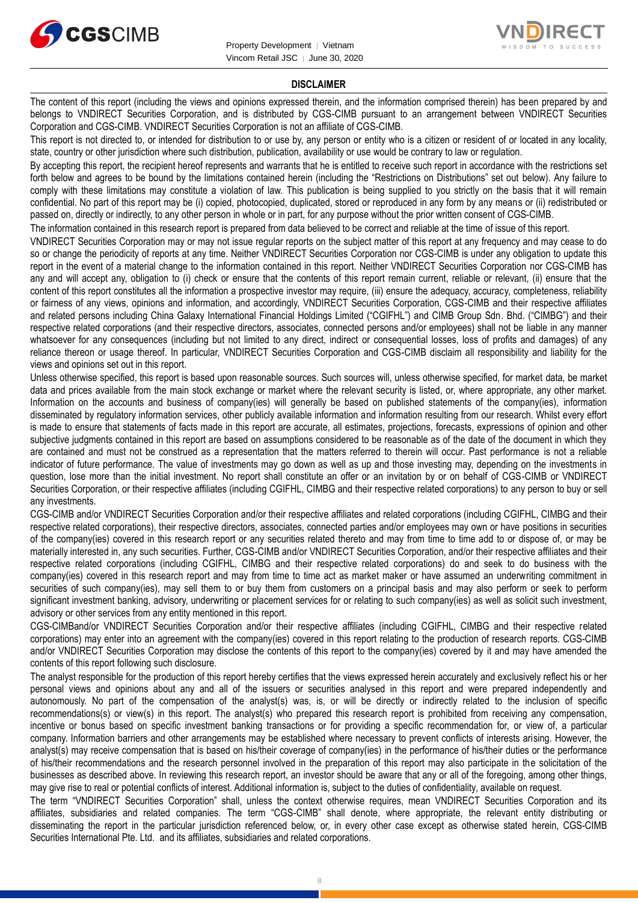



### **DISCLAIMER**

The content of this report (including the views and opinions expressed therein, and the information comprised therein) has been prepared by and belongs to VNDIRECT Securities Corporation, and is distributed by CGS-CIMB pursuant to an arrangement between VNDIRECT Securities Corporation and CGS-CIMB. VNDIRECT Securities Corporation is not an affiliate of CGS-CIMB.

This report is not directed to, or intended for distribution to or use by, any person or entity who is a citizen or resident of or located in any locality, state, country or other jurisdiction where such distribution, publication, availability or use would be contrary to law or regulation.

By accepting this report, the recipient hereof represents and warrants that he is entitled to receive such report in accordance with the restrictions set forth below and agrees to be bound by the limitations contained herein (including the "Restrictions on Distributions" set out below). Any failure to comply with these limitations may constitute a violation of law. This publication is being supplied to you strictly on the basis that it will remain confidential. No part of this report may be (i) copied, photocopied, duplicated, stored or reproduced in any form by any means or (ii) redistributed or passed on, directly or indirectly, to any other person in whole or in part, for any purpose without the prior written consent of CGS-CIMB.

The information contained in this research report is prepared from data believed to be correct and reliable at the time of issue of this report.

VNDIRECT Securities Corporation may or may not issue regular reports on the subject matter of this report at any frequency and may cease to do so or change the periodicity of reports at any time. Neither VNDIRECT Securities Corporation nor CGS-CIMB is under any obligation to update this report in the event of a material change to the information contained in this report. Neither VNDIRECT Securities Corporation nor CGS-CIMB has any and will accept any, obligation to (i) check or ensure that the contents of this report remain current, reliable or relevant, (ii) ensure that the content of this report constitutes all the information a prospective investor may require, (iii) ensure the adequacy, accuracy, completeness, reliability or fairness of any views, opinions and information, and accordingly, VNDIRECT Securities Corporation, CGS-CIMB and their respective affiliates and related persons including China Galaxy International Financial Holdings Limited ("CGIFHL") and CIMB Group Sdn. Bhd. ("CIMBG") and their respective related corporations (and their respective directors, associates, connected persons and/or employees) shall not be liable in any manner whatsoever for any consequences (including but not limited to any direct, indirect or consequential losses, loss of profits and damages) of any reliance thereon or usage thereof. In particular, VNDIRECT Securities Corporation and CGS-CIMB disclaim all responsibility and liability for the views and opinions set out in this report.

Unless otherwise specified, this report is based upon reasonable sources. Such sources will, unless otherwise specified, for market data, be market data and prices available from the main stock exchange or market where the relevant security is listed, or, where appropriate, any other market. Information on the accounts and business of company(ies) will generally be based on published statements of the company(ies), information disseminated by regulatory information services, other publicly available information and information resulting from our research. Whilst every effort is made to ensure that statements of facts made in this report are accurate, all estimates, projections, forecasts, expressions of opinion and other subjective judgments contained in this report are based on assumptions considered to be reasonable as of the date of the document in which they are contained and must not be construed as a representation that the matters referred to therein will occur. Past performance is not a reliable indicator of future performance. The value of investments may go down as well as up and those investing may, depending on the investments in question, lose more than the initial investment. No report shall constitute an offer or an invitation by or on behalf of CGS-CIMB or VNDIRECT Securities Corporation, or their respective affiliates (including CGIFHL, CIMBG and their respective related corporations) to any person to buy or sell any investments.

CGS-CIMB and/or VNDIRECT Securities Corporation and/or their respective affiliates and related corporations (including CGIFHL, CIMBG and their respective related corporations), their respective directors, associates, connected parties and/or employees may own or have positions in securities of the company(ies) covered in this research report or any securities related thereto and may from time to time add to or dispose of, or may be materially interested in, any such securities. Further, CGS-CIMB and/or VNDIRECT Securities Corporation, and/or their respective affiliates and their respective related corporations (including CGIFHL, CIMBG and their respective related corporations) do and seek to do business with the company(ies) covered in this research report and may from time to time act as market maker or have assumed an underwriting commitment in securities of such company(ies), may sell them to or buy them from customers on a principal basis and may also perform or seek to perform significant investment banking, advisory, underwriting or placement services for or relating to such company(ies) as well as solicit such investment, advisory or other services from any entity mentioned in this report.

CGS-CIMBand/or VNDIRECT Securities Corporation and/or their respective affiliates (including CGIFHL, CIMBG and their respective related corporations) may enter into an agreement with the company(ies) covered in this report relating to the production of research reports. CGS-CIMB and/or VNDIRECT Securities Corporation may disclose the contents of this report to the company(ies) covered by it and may have amended the contents of this report following such disclosure.

The analyst responsible for the production of this report hereby certifies that the views expressed herein accurately and exclusively reflect his or her personal views and opinions about any and all of the issuers or securities analysed in this report and were prepared independently and autonomously. No part of the compensation of the analyst(s) was, is, or will be directly or indirectly related to the inclusion of specific recommendations(s) or view(s) in this report. The analyst(s) who prepared this research report is prohibited from receiving any compensation, incentive or bonus based on specific investment banking transactions or for providing a specific recommendation for, or view of, a particular company. Information barriers and other arrangements may be established where necessary to prevent conflicts of interests arising. However, the analyst(s) may receive compensation that is based on his/their coverage of company(ies) in the performance of his/their duties or the performance of his/their recommendations and the research personnel involved in the preparation of this report may also participate in the solicitation of the businesses as described above. In reviewing this research report, an investor should be aware that any or all of the foregoing, among other things, may give rise to real or potential conflicts of interest. Additional information is, subject to the duties of confidentiality, available on request.

The term "VNDIRECT Securities Corporation" shall, unless the context otherwise requires, mean VNDIRECT Securities Corporation and its affiliates, subsidiaries and related companies. The term "CGS-CIMB" shall denote, where appropriate, the relevant entity distributing or disseminating the report in the particular jurisdiction referenced below, or, in every other case except as otherwise stated herein, CGS-CIMB Securities International Pte. Ltd. and its affiliates, subsidiaries and related corporations.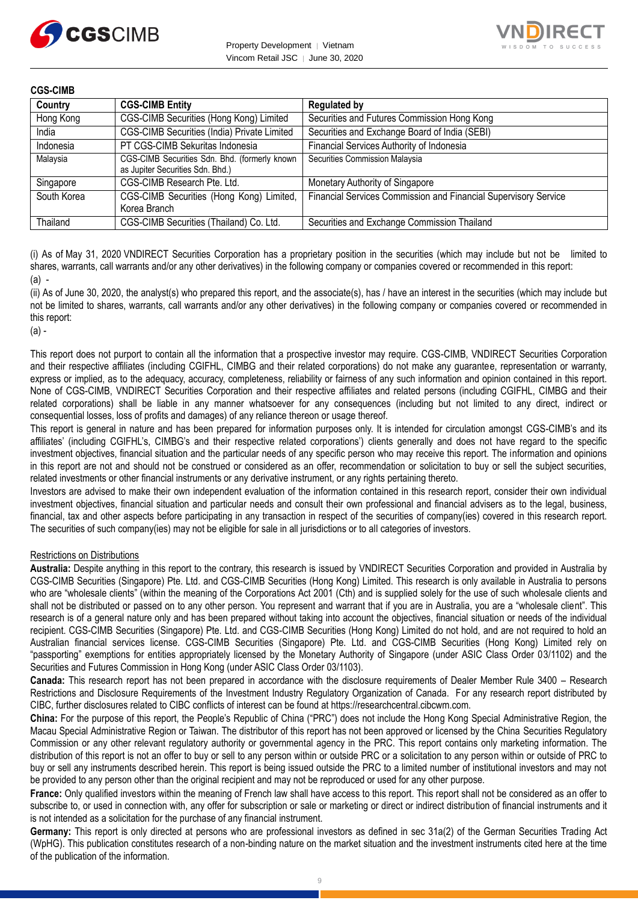



| Country     | <b>CGS-CIMB Entity</b>                                                            | <b>Regulated by</b>                                             |
|-------------|-----------------------------------------------------------------------------------|-----------------------------------------------------------------|
| Hong Kong   | CGS-CIMB Securities (Hong Kong) Limited                                           | Securities and Futures Commission Hong Kong                     |
| India       | CGS-CIMB Securities (India) Private Limited                                       | Securities and Exchange Board of India (SEBI)                   |
| Indonesia   | PT CGS-CIMB Sekuritas Indonesia                                                   | Financial Services Authority of Indonesia                       |
| Malaysia    | CGS-CIMB Securities Sdn. Bhd. (formerly known<br>as Jupiter Securities Sdn. Bhd.) | Securities Commission Malaysia                                  |
| Singapore   | CGS-CIMB Research Pte. Ltd.                                                       | Monetary Authority of Singapore                                 |
| South Korea | CGS-CIMB Securities (Hong Kong) Limited,<br>Korea Branch                          | Financial Services Commission and Financial Supervisory Service |
| Thailand    | CGS-CIMB Securities (Thailand) Co. Ltd.                                           | Securities and Exchange Commission Thailand                     |

(i) As of May 31, 2020 VNDIRECT Securities Corporation has a proprietary position in the securities (which may include but not be limited to shares, warrants, call warrants and/or any other derivatives) in the following company or companies covered or recommended in this report:  $(a)$  -

(ii) As of June 30, 2020, the analyst(s) who prepared this report, and the associate(s), has / have an interest in the securities (which may include but not be limited to shares, warrants, call warrants and/or any other derivatives) in the following company or companies covered or recommended in this report:

(a) -

This report does not purport to contain all the information that a prospective investor may require. CGS-CIMB, VNDIRECT Securities Corporation and their respective affiliates (including CGIFHL, CIMBG and their related corporations) do not make any guarantee, representation or warranty, express or implied, as to the adequacy, accuracy, completeness, reliability or fairness of any such information and opinion contained in this report. None of CGS-CIMB, VNDIRECT Securities Corporation and their respective affiliates and related persons (including CGIFHL, CIMBG and their related corporations) shall be liable in any manner whatsoever for any consequences (including but not limited to any direct, indirect or consequential losses, loss of profits and damages) of any reliance thereon or usage thereof.

This report is general in nature and has been prepared for information purposes only. It is intended for circulation amongst CGS-CIMB's and its affiliates' (including CGIFHL's, CIMBG's and their respective related corporations') clients generally and does not have regard to the specific investment objectives, financial situation and the particular needs of any specific person who may receive this report. The information and opinions in this report are not and should not be construed or considered as an offer, recommendation or solicitation to buy or sell the subject securities, related investments or other financial instruments or any derivative instrument, or any rights pertaining thereto.

Investors are advised to make their own independent evaluation of the information contained in this research report, consider their own individual investment objectives, financial situation and particular needs and consult their own professional and financial advisers as to the legal, business, financial, tax and other aspects before participating in any transaction in respect of the securities of company(ies) covered in this research report. The securities of such company(ies) may not be eligible for sale in all jurisdictions or to all categories of investors.

### Restrictions on Distributions

**Australia:** Despite anything in this report to the contrary, this research is issued by VNDIRECT Securities Corporation and provided in Australia by CGS-CIMB Securities (Singapore) Pte. Ltd. and CGS-CIMB Securities (Hong Kong) Limited. This research is only available in Australia to persons who are "wholesale clients" (within the meaning of the Corporations Act 2001 (Cth) and is supplied solely for the use of such wholesale clients and shall not be distributed or passed on to any other person. You represent and warrant that if you are in Australia, you are a "wholesale client". This research is of a general nature only and has been prepared without taking into account the objectives, financial situation or needs of the individual recipient. CGS-CIMB Securities (Singapore) Pte. Ltd. and CGS-CIMB Securities (Hong Kong) Limited do not hold, and are not required to hold an Australian financial services license. CGS-CIMB Securities (Singapore) Pte. Ltd. and CGS-CIMB Securities (Hong Kong) Limited rely on "passporting" exemptions for entities appropriately licensed by the Monetary Authority of Singapore (under ASIC Class Order 03/1102) and the Securities and Futures Commission in Hong Kong (under ASIC Class Order 03/1103).

**Canada:** This research report has not been prepared in accordance with the disclosure requirements of Dealer Member Rule 3400 – Research Restrictions and Disclosure Requirements of the Investment Industry Regulatory Organization of Canada. For any research report distributed by CIBC, further disclosures related to CIBC conflicts of interest can be found at https://researchcentral.cibcwm.com.

**China:** For the purpose of this report, the People's Republic of China ("PRC") does not include the Hong Kong Special Administrative Region, the Macau Special Administrative Region or Taiwan. The distributor of this report has not been approved or licensed by the China Securities Regulatory Commission or any other relevant regulatory authority or governmental agency in the PRC. This report contains only marketing information. The distribution of this report is not an offer to buy or sell to any person within or outside PRC or a solicitation to any person within or outside of PRC to buy or sell any instruments described herein. This report is being issued outside the PRC to a limited number of institutional investors and may not be provided to any person other than the original recipient and may not be reproduced or used for any other purpose.

**France:** Only qualified investors within the meaning of French law shall have access to this report. This report shall not be considered as an offer to subscribe to, or used in connection with, any offer for subscription or sale or marketing or direct or indirect distribution of financial instruments and it is not intended as a solicitation for the purchase of any financial instrument.

Germany: This report is only directed at persons who are professional investors as defined in sec 31a(2) of the German Securities Trading Act (WpHG). This publication constitutes research of a non-binding nature on the market situation and the investment instruments cited here at the time of the publication of the information.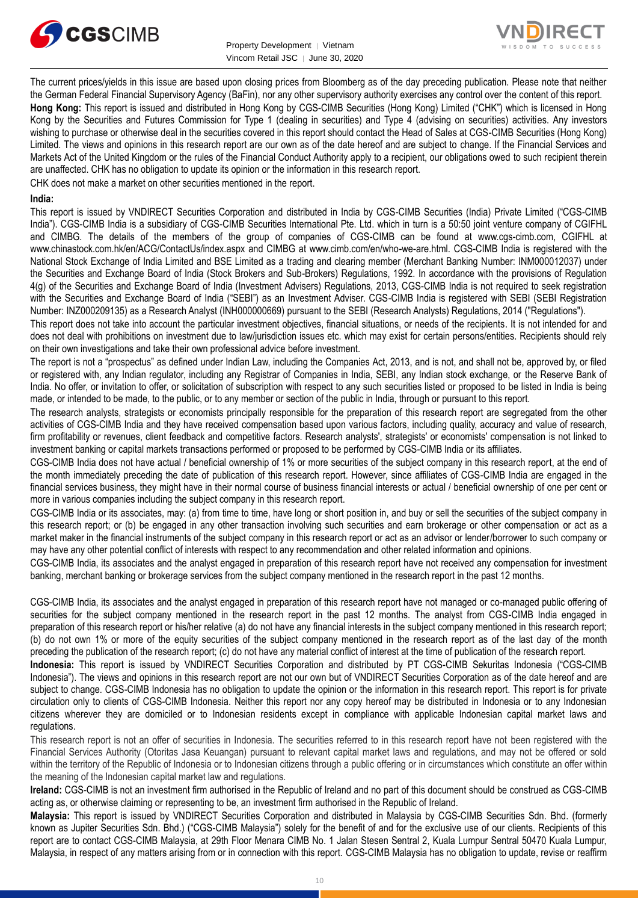



The current prices/yields in this issue are based upon closing prices from Bloomberg as of the day preceding publication. Please note that neither the German Federal Financial Supervisory Agency (BaFin), nor any other supervisory authority exercises any control over the content of this report. **Hong Kong:** This report is issued and distributed in Hong Kong by CGS-CIMB Securities (Hong Kong) Limited ("CHK") which is licensed in Hong Kong by the Securities and Futures Commission for Type 1 (dealing in securities) and Type 4 (advising on securities) activities. Any investors wishing to purchase or otherwise deal in the securities covered in this report should contact the Head of Sales at CGS-CIMB Securities (Hong Kong) Limited. The views and opinions in this research report are our own as of the date hereof and are subject to change. If the Financial Services and Markets Act of the United Kingdom or the rules of the Financial Conduct Authority apply to a recipient, our obligations owed to such recipient therein are unaffected. CHK has no obligation to update its opinion or the information in this research report.

CHK does not make a market on other securities mentioned in the report.

### **India:**

This report is issued by VNDIRECT Securities Corporation and distributed in India by CGS-CIMB Securities (India) Private Limited ("CGS-CIMB India"). CGS-CIMB India is a subsidiary of CGS-CIMB Securities International Pte. Ltd. which in turn is a 50:50 joint venture company of CGIFHL and CIMBG. The details of the members of the group of companies of CGS-CIMB can be found at www.cgs-cimb.com, CGIFHL at www.chinastock.com.hk/en/ACG/ContactUs/index.aspx and CIMBG at www.cimb.com/en/who-we-are.html. CGS-CIMB India is registered with the National Stock Exchange of India Limited and BSE Limited as a trading and clearing member (Merchant Banking Number: INM000012037) under the Securities and Exchange Board of India (Stock Brokers and Sub-Brokers) Regulations, 1992. In accordance with the provisions of Regulation 4(g) of the Securities and Exchange Board of India (Investment Advisers) Regulations, 2013, CGS-CIMB India is not required to seek registration with the Securities and Exchange Board of India ("SEBI") as an Investment Adviser. CGS-CIMB India is registered with SEBI (SEBI Registration Number: INZ000209135) as a Research Analyst (INH000000669) pursuant to the SEBI (Research Analysts) Regulations, 2014 ("Regulations").

This report does not take into account the particular investment objectives, financial situations, or needs of the recipients. It is not intended for and does not deal with prohibitions on investment due to law/jurisdiction issues etc. which may exist for certain persons/entities. Recipients should rely on their own investigations and take their own professional advice before investment.

The report is not a "prospectus" as defined under Indian Law, including the Companies Act, 2013, and is not, and shall not be, approved by, or filed or registered with, any Indian regulator, including any Registrar of Companies in India, SEBI, any Indian stock exchange, or the Reserve Bank of India. No offer, or invitation to offer, or solicitation of subscription with respect to any such securities listed or proposed to be listed in India is being made, or intended to be made, to the public, or to any member or section of the public in India, through or pursuant to this report.

The research analysts, strategists or economists principally responsible for the preparation of this research report are segregated from the other activities of CGS-CIMB India and they have received compensation based upon various factors, including quality, accuracy and value of research, firm profitability or revenues, client feedback and competitive factors. Research analysts', strategists' or economists' compensation is not linked to investment banking or capital markets transactions performed or proposed to be performed by CGS-CIMB India or its affiliates.

CGS-CIMB India does not have actual / beneficial ownership of 1% or more securities of the subject company in this research report, at the end of the month immediately preceding the date of publication of this research report. However, since affiliates of CGS-CIMB India are engaged in the financial services business, they might have in their normal course of business financial interests or actual / beneficial ownership of one per cent or more in various companies including the subject company in this research report.

CGS-CIMB India or its associates, may: (a) from time to time, have long or short position in, and buy or sell the securities of the subject company in this research report; or (b) be engaged in any other transaction involving such securities and earn brokerage or other compensation or act as a market maker in the financial instruments of the subject company in this research report or act as an advisor or lender/borrower to such company or may have any other potential conflict of interests with respect to any recommendation and other related information and opinions.

CGS-CIMB India, its associates and the analyst engaged in preparation of this research report have not received any compensation for investment banking, merchant banking or brokerage services from the subject company mentioned in the research report in the past 12 months.

CGS-CIMB India, its associates and the analyst engaged in preparation of this research report have not managed or co-managed public offering of securities for the subject company mentioned in the research report in the past 12 months. The analyst from CGS-CIMB India engaged in preparation of this research report or his/her relative (a) do not have any financial interests in the subject company mentioned in this research report; (b) do not own 1% or more of the equity securities of the subject company mentioned in the research report as of the last day of the month preceding the publication of the research report; (c) do not have any material conflict of interest at the time of publication of the research report.

**Indonesia:** This report is issued by VNDIRECT Securities Corporation and distributed by PT CGS-CIMB Sekuritas Indonesia ("CGS-CIMB Indonesia"). The views and opinions in this research report are not our own but of VNDIRECT Securities Corporation as of the date hereof and are subject to change. CGS-CIMB Indonesia has no obligation to update the opinion or the information in this research report. This report is for private circulation only to clients of CGS-CIMB Indonesia. Neither this report nor any copy hereof may be distributed in Indonesia or to any Indonesian citizens wherever they are domiciled or to Indonesian residents except in compliance with applicable Indonesian capital market laws and regulations.

This research report is not an offer of securities in Indonesia. The securities referred to in this research report have not been registered with the Financial Services Authority (Otoritas Jasa Keuangan) pursuant to relevant capital market laws and regulations, and may not be offered or sold within the territory of the Republic of Indonesia or to Indonesian citizens through a public offering or in circumstances which constitute an offer within the meaning of the Indonesian capital market law and regulations.

**Ireland:** CGS-CIMB is not an investment firm authorised in the Republic of Ireland and no part of this document should be construed as CGS-CIMB acting as, or otherwise claiming or representing to be, an investment firm authorised in the Republic of Ireland.

**Malaysia:** This report is issued by VNDIRECT Securities Corporation and distributed in Malaysia by CGS-CIMB Securities Sdn. Bhd. (formerly known as Jupiter Securities Sdn. Bhd.) ("CGS-CIMB Malaysia") solely for the benefit of and for the exclusive use of our clients. Recipients of this report are to contact CGS-CIMB Malaysia, at 29th Floor Menara CIMB No. 1 Jalan Stesen Sentral 2, Kuala Lumpur Sentral 50470 Kuala Lumpur, Malaysia, in respect of any matters arising from or in connection with this report. CGS-CIMB Malaysia has no obligation to update, revise or reaffirm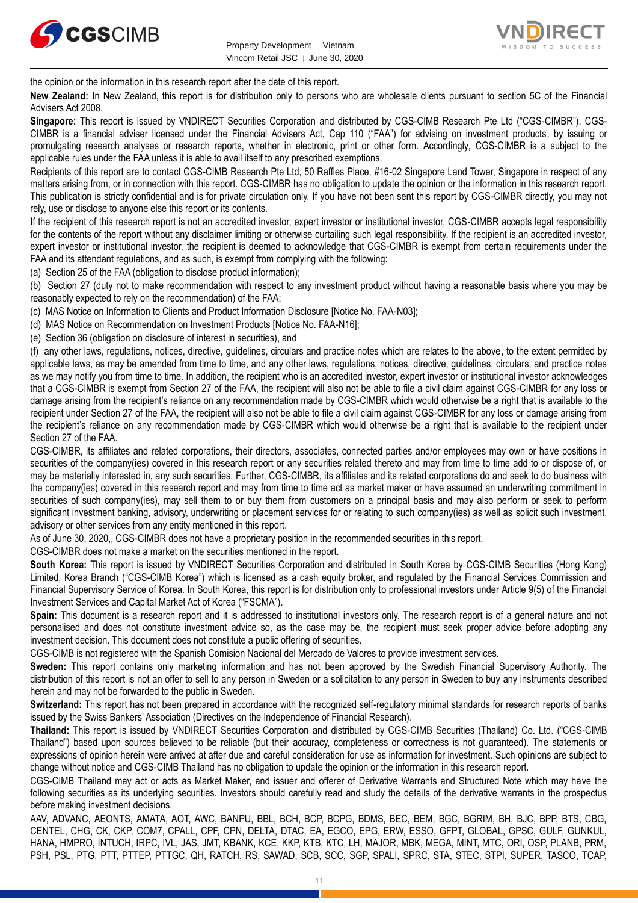



the opinion or the information in this research report after the date of this report.

**New Zealand:** In New Zealand, this report is for distribution only to persons who are wholesale clients pursuant to section 5C of the Financial Advisers Act 2008.

**Singapore:** This report is issued by VNDIRECT Securities Corporation and distributed by CGS-CIMB Research Pte Ltd ("CGS-CIMBR"). CGS-CIMBR is a financial adviser licensed under the Financial Advisers Act, Cap 110 ("FAA") for advising on investment products, by issuing or promulgating research analyses or research reports, whether in electronic, print or other form. Accordingly, CGS-CIMBR is a subject to the applicable rules under the FAA unless it is able to avail itself to any prescribed exemptions.

Recipients of this report are to contact CGS-CIMB Research Pte Ltd, 50 Raffles Place, #16-02 Singapore Land Tower, Singapore in respect of any matters arising from, or in connection with this report. CGS-CIMBR has no obligation to update the opinion or the information in this research report. This publication is strictly confidential and is for private circulation only. If you have not been sent this report by CGS-CIMBR directly, you may not rely, use or disclose to anyone else this report or its contents.

If the recipient of this research report is not an accredited investor, expert investor or institutional investor, CGS-CIMBR accepts legal responsibility for the contents of the report without any disclaimer limiting or otherwise curtailing such legal responsibility. If the recipient is an accredited investor, expert investor or institutional investor, the recipient is deemed to acknowledge that CGS-CIMBR is exempt from certain requirements under the FAA and its attendant regulations, and as such, is exempt from complying with the following:

(a) Section 25 of the FAA (obligation to disclose product information);

(b) Section 27 (duty not to make recommendation with respect to any investment product without having a reasonable basis where you may be reasonably expected to rely on the recommendation) of the FAA;

(c) MAS Notice on Information to Clients and Product Information Disclosure [Notice No. FAA-N03];

(d) MAS Notice on Recommendation on Investment Products [Notice No. FAA-N16];

(e) Section 36 (obligation on disclosure of interest in securities), and

(f) any other laws, regulations, notices, directive, guidelines, circulars and practice notes which are relates to the above, to the extent permitted by applicable laws, as may be amended from time to time, and any other laws, regulations, notices, directive, guidelines, circulars, and practice notes as we may notify you from time to time. In addition, the recipient who is an accredited investor, expert investor or institutional investor acknowledges that a CGS-CIMBR is exempt from Section 27 of the FAA, the recipient will also not be able to file a civil claim against CGS-CIMBR for any loss or damage arising from the recipient's reliance on any recommendation made by CGS-CIMBR which would otherwise be a right that is available to the recipient under Section 27 of the FAA, the recipient will also not be able to file a civil claim against CGS-CIMBR for any loss or damage arising from the recipient's reliance on any recommendation made by CGS-CIMBR which would otherwise be a right that is available to the recipient under Section 27 of the FAA.

CGS-CIMBR, its affiliates and related corporations, their directors, associates, connected parties and/or employees may own or have positions in securities of the company(ies) covered in this research report or any securities related thereto and may from time to time add to or dispose of, or may be materially interested in, any such securities. Further, CGS-CIMBR, its affiliates and its related corporations do and seek to do business with the company(ies) covered in this research report and may from time to time act as market maker or have assumed an underwriting commitment in securities of such company(ies), may sell them to or buy them from customers on a principal basis and may also perform or seek to perform significant investment banking, advisory, underwriting or placement services for or relating to such company(ies) as well as solicit such investment, advisory or other services from any entity mentioned in this report.

As of June 30, 2020,, CGS-CIMBR does not have a proprietary position in the recommended securities in this report.

CGS-CIMBR does not make a market on the securities mentioned in the report.

**South Korea:** This report is issued by VNDIRECT Securities Corporation and distributed in South Korea by CGS-CIMB Securities (Hong Kong) Limited, Korea Branch ("CGS-CIMB Korea") which is licensed as a cash equity broker, and regulated by the Financial Services Commission and Financial Supervisory Service of Korea. In South Korea, this report is for distribution only to professional investors under Article 9(5) of the Financial Investment Services and Capital Market Act of Korea ("FSCMA").

**Spain:** This document is a research report and it is addressed to institutional investors only. The research report is of a general nature and not personalised and does not constitute investment advice so, as the case may be, the recipient must seek proper advice before adopting any investment decision. This document does not constitute a public offering of securities.

CGS-CIMB is not registered with the Spanish Comision Nacional del Mercado de Valores to provide investment services.

**Sweden:** This report contains only marketing information and has not been approved by the Swedish Financial Supervisory Authority. The distribution of this report is not an offer to sell to any person in Sweden or a solicitation to any person in Sweden to buy any instruments described herein and may not be forwarded to the public in Sweden.

**Switzerland:** This report has not been prepared in accordance with the recognized self-regulatory minimal standards for research reports of banks issued by the Swiss Bankers' Association (Directives on the Independence of Financial Research).

**Thailand:** This report is issued by VNDIRECT Securities Corporation and distributed by CGS-CIMB Securities (Thailand) Co. Ltd. ("CGS-CIMB Thailand") based upon sources believed to be reliable (but their accuracy, completeness or correctness is not guaranteed). The statements or expressions of opinion herein were arrived at after due and careful consideration for use as information for investment. Such opinions are subject to change without notice and CGS-CIMB Thailand has no obligation to update the opinion or the information in this research report.

CGS-CIMB Thailand may act or acts as Market Maker, and issuer and offerer of Derivative Warrants and Structured Note which may have the following securities as its underlying securities. Investors should carefully read and study the details of the derivative warrants in the prospectus before making investment decisions.

AAV, ADVANC, AEONTS, AMATA, AOT, AWC, BANPU, BBL, BCH, BCP, BCPG, BDMS, BEC, BEM, BGC, BGRIM, BH, BJC, BPP, BTS, CBG, CENTEL, CHG, CK, CKP, COM7, CPALL, CPF, CPN, DELTA, DTAC, EA, EGCO, EPG, ERW, ESSO, GFPT, GLOBAL, GPSC, GULF, GUNKUL, HANA, HMPRO, INTUCH, IRPC, IVL, JAS, JMT, KBANK, KCE, KKP, KTB, KTC, LH, MAJOR, MBK, MEGA, MINT, MTC, ORI, OSP, PLANB, PRM, PSH, PSL, PTG, PTT, PTTEP, PTTGC, QH, RATCH, RS, SAWAD, SCB, SCC, SGP, SPALI, SPRC, STA, STEC, STPI, SUPER, TASCO, TCAP,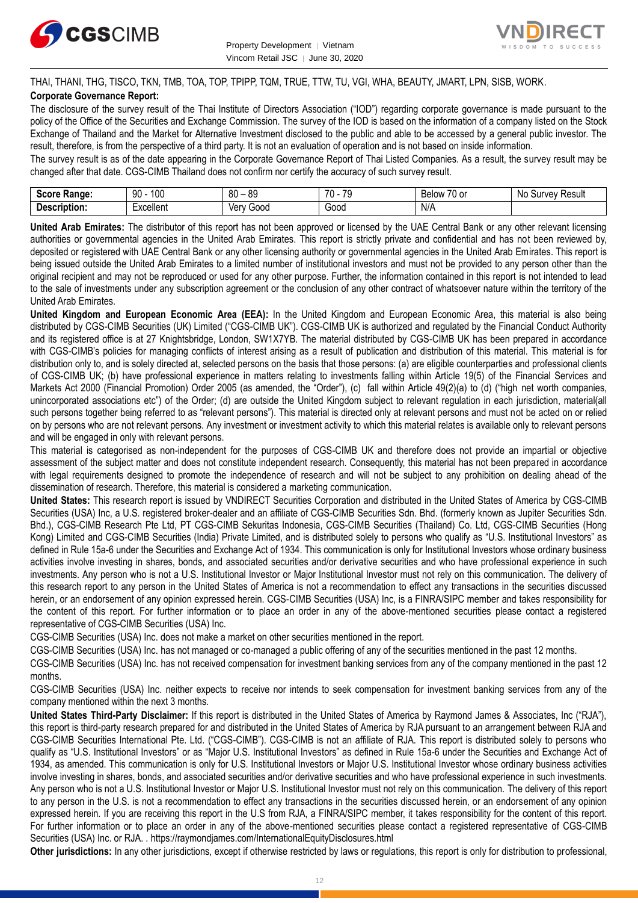



THAI, THANI, THG, TISCO, TKN, TMB, TOA, TOP, TPIPP, TQM, TRUE, TTW, TU, VGI, WHA, BEAUTY, JMART, LPN, SISB, WORK.

# **Corporate Governance Report:**

The disclosure of the survey result of the Thai Institute of Directors Association ("IOD") regarding corporate governance is made pursuant to the policy of the Office of the Securities and Exchange Commission. The survey of the IOD is based on the information of a company listed on the Stock Exchange of Thailand and the Market for Alternative Investment disclosed to the public and able to be accessed by a general public investor. The result, therefore, is from the perspective of a third party. It is not an evaluation of operation and is not based on inside information.

The survey result is as of the date appearing in the Corporate Governance Report of Thai Listed Companies. As a result, the survey result may be changed after that date. CGS-CIMB Thailand does not confirm nor certify the accuracy of such survey result.

| <br><b>Range:</b><br>じへへいへ<br>-015 | 100<br>۵n<br>υv      | $\Omega$<br>RΠ<br>υv<br>ت∪ | $\overline{\phantom{a}}$<br><b>70</b><br>v | $\overline{\phantom{a}}$<br>Below<br>. or<br>$\cdot$ | Result<br>vev<br>N0<br>m<br>our |
|------------------------------------|----------------------|----------------------------|--------------------------------------------|------------------------------------------------------|---------------------------------|
| -<br><b>Descrip</b><br>ription:    | woollon*<br>∟∧∪∪แ∪เแ | 000خ<br>Verv               | -<br>Good                                  | N/A                                                  |                                 |

**United Arab Emirates:** The distributor of this report has not been approved or licensed by the UAE Central Bank or any other relevant licensing authorities or governmental agencies in the United Arab Emirates. This report is strictly private and confidential and has not been reviewed by, deposited or registered with UAE Central Bank or any other licensing authority or governmental agencies in the United Arab Emirates. This report is being issued outside the United Arab Emirates to a limited number of institutional investors and must not be provided to any person other than the original recipient and may not be reproduced or used for any other purpose. Further, the information contained in this report is not intended to lead to the sale of investments under any subscription agreement or the conclusion of any other contract of whatsoever nature within the territory of the United Arab Emirates.

**United Kingdom and European Economic Area (EEA):** In the United Kingdom and European Economic Area, this material is also being distributed by CGS-CIMB Securities (UK) Limited ("CGS-CIMB UK"). CGS-CIMB UK is authorized and regulated by the Financial Conduct Authority and its registered office is at 27 Knightsbridge, London, SW1X7YB. The material distributed by CGS-CIMB UK has been prepared in accordance with CGS-CIMB's policies for managing conflicts of interest arising as a result of publication and distribution of this material. This material is for distribution only to, and is solely directed at, selected persons on the basis that those persons: (a) are eligible counterparties and professional clients of CGS-CIMB UK; (b) have professional experience in matters relating to investments falling within Article 19(5) of the Financial Services and Markets Act 2000 (Financial Promotion) Order 2005 (as amended, the "Order"), (c) fall within Article 49(2)(a) to (d) ("high net worth companies, unincorporated associations etc") of the Order; (d) are outside the United Kingdom subject to relevant regulation in each jurisdiction, material(all such persons together being referred to as "relevant persons"). This material is directed only at relevant persons and must not be acted on or relied on by persons who are not relevant persons. Any investment or investment activity to which this material relates is available only to relevant persons and will be engaged in only with relevant persons.

This material is categorised as non-independent for the purposes of CGS-CIMB UK and therefore does not provide an impartial or objective assessment of the subject matter and does not constitute independent research. Consequently, this material has not been prepared in accordance with legal requirements designed to promote the independence of research and will not be subject to any prohibition on dealing ahead of the dissemination of research. Therefore, this material is considered a marketing communication.

**United States:** This research report is issued by VNDIRECT Securities Corporation and distributed in the United States of America by CGS-CIMB Securities (USA) Inc, a U.S. registered broker-dealer and an affiliate of CGS-CIMB Securities Sdn. Bhd. (formerly known as Jupiter Securities Sdn. Bhd.), CGS-CIMB Research Pte Ltd, PT CGS-CIMB Sekuritas Indonesia, CGS-CIMB Securities (Thailand) Co. Ltd, CGS-CIMB Securities (Hong Kong) Limited and CGS-CIMB Securities (India) Private Limited, and is distributed solely to persons who qualify as "U.S. Institutional Investors" as defined in Rule 15a-6 under the Securities and Exchange Act of 1934. This communication is only for Institutional Investors whose ordinary business activities involve investing in shares, bonds, and associated securities and/or derivative securities and who have professional experience in such investments. Any person who is not a U.S. Institutional Investor or Major Institutional Investor must not rely on this communication. The delivery of this research report to any person in the United States of America is not a recommendation to effect any transactions in the securities discussed herein, or an endorsement of any opinion expressed herein. CGS-CIMB Securities (USA) Inc, is a FINRA/SIPC member and takes responsibility for the content of this report. For further information or to place an order in any of the above-mentioned securities please contact a registered representative of CGS-CIMB Securities (USA) Inc.

CGS-CIMB Securities (USA) Inc. does not make a market on other securities mentioned in the report.

CGS-CIMB Securities (USA) Inc. has not managed or co-managed a public offering of any of the securities mentioned in the past 12 months.

CGS-CIMB Securities (USA) Inc. has not received compensation for investment banking services from any of the company mentioned in the past 12 months.

CGS-CIMB Securities (USA) Inc. neither expects to receive nor intends to seek compensation for investment banking services from any of the company mentioned within the next 3 months.

**United States Third-Party Disclaimer:** If this report is distributed in the United States of America by Raymond James & Associates, Inc ("RJA"), this report is third-party research prepared for and distributed in the United States of America by RJA pursuant to an arrangement between RJA and CGS-CIMB Securities International Pte. Ltd. ("CGS-CIMB"). CGS-CIMB is not an affiliate of RJA. This report is distributed solely to persons who qualify as "U.S. Institutional Investors" or as "Major U.S. Institutional Investors" as defined in Rule 15a-6 under the Securities and Exchange Act of 1934, as amended. This communication is only for U.S. Institutional Investors or Major U.S. Institutional Investor whose ordinary business activities involve investing in shares, bonds, and associated securities and/or derivative securities and who have professional experience in such investments. Any person who is not a U.S. Institutional Investor or Major U.S. Institutional Investor must not rely on this communication. The delivery of this report to any person in the U.S. is not a recommendation to effect any transactions in the securities discussed herein, or an endorsement of any opinion expressed herein. If you are receiving this report in the U.S from RJA, a FINRA/SIPC member, it takes responsibility for the content of this report. For further information or to place an order in any of the above-mentioned securities please contact a registered representative of CGS-CIMB Securities (USA) Inc. or RJA. .<https://raymondjames.com/InternationalEquityDisclosures.html>

**Other jurisdictions:** In any other jurisdictions, except if otherwise restricted by laws or regulations, this report is only for distribution to professional,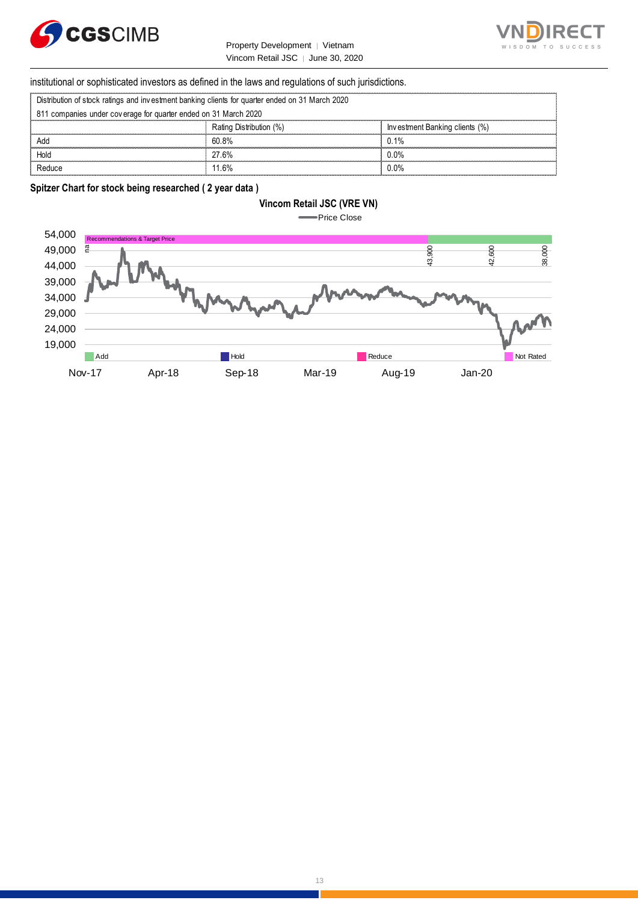



Ï

# institutional or sophisticated investors as defined in the laws and regulations of such jurisdictions. Vincom Retail JSC | June 30, 2<br>
Stitutional or sophisticated investors as defined in the laws and regulations of surf<br>
Distribution of stock ratings and investment banking clients for quarter ended on 31 March 2020<br>
841 co

| Distribution of stock ratings and investment banking clients for quarter ended on 31 March 2020 |  |  |  |
|-------------------------------------------------------------------------------------------------|--|--|--|
|                                                                                                 |  |  |  |

| institutional or sophisticated investors as defined in the laws and regulations of such jurisdictions. |                         |                                |  |  |  |
|--------------------------------------------------------------------------------------------------------|-------------------------|--------------------------------|--|--|--|
| Distribution of stock ratings and investment banking clients for quarter ended on 31 March 2020        |                         |                                |  |  |  |
| 811 companies under coverage for quarter ended on 31 March 2020                                        |                         |                                |  |  |  |
|                                                                                                        | Rating Distribution (%) | Investment Banking clients (%) |  |  |  |
| Add                                                                                                    | 60.8%                   | በ 1%                           |  |  |  |
| Hold                                                                                                   | 27.6%                   | ባ በ%                           |  |  |  |
|                                                                                                        | 11 6%                   | ) በ%                           |  |  |  |

## **Spitzer Chart for stock being researched ( 2 year data )**

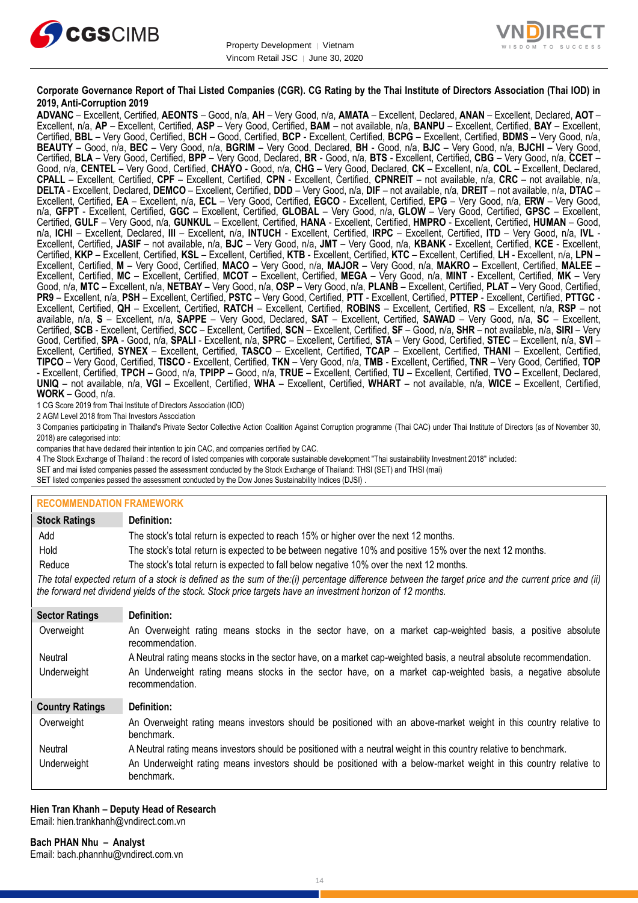



### **Corporate Governance Report of Thai Listed Companies (CGR). CG Rating by the Thai Institute of Directors Association (Thai IOD) in 2019, Anti-Corruption 2019**

**ADVANC** – Excellent, Certified, **AEONTS** – Good, n/a, **AH** – Very Good, n/a, **AMATA** – Excellent, Declared, **ANAN** – Excellent, Declared, **AOT** – Excellent, n/a, **AP** – Excellent, Certified, **ASP** – Very Good, Certified, **BAM** – not available, n/a, **BANPU** – Excellent, Certified, **BAY** – Excellent, Certified, **BBL** – Very Good, Certified, **BCH** – Good, Certified, **BCP** - Excellent, Certified, **BCPG** – Excellent, Certified, **BDMS** – Very Good, n/a, **BEAUTY** – Good, n/a, **BEC** – Very Good, n/a, **BGRIM** – Very Good, Declared, **BH** - Good, n/a, **BJC** – Very Good, n/a, **BJCHI** – Very Good, Certified, **BLA** – Very Good, Certified, **BPP** – Very Good, Declared, **BR** - Good, n/a, **BTS** - Excellent, Certified, **CBG** – Very Good, n/a, **CCET** – Good, n/a, **CENTEL** – Very Good, Certified, **CHAYO** - Good, n/a, **CHG** – Very Good, Declared, **CK** – Excellent, n/a, **COL** – Excellent, Declared, **CPALL** – Excellent, Certified, **CPF** – Excellent, Certified, **CPN** - Excellent, Certified, **CPNREIT** – not available, n/a, **CRC** – not available, n/a, **DELTA** - Excellent, Declared, **DEMCO** – Excellent, Certified, **DDD** – Very Good, n/a, **DIF** – not available, n/a, **DREIT** – not available, n/a, **DTAC** – Excellent, Certified, **EA** – Excellent, n/a, **ECL** – Very Good, Certified, **EGCO** - Excellent, Certified, **EPG** – Very Good, n/a, **ERW** – Very Good, n/a, **GFPT** - Excellent, Certified, **GGC** – Excellent, Certified, **GLOBAL** – Very Good, n/a, **GLOW** – Very Good, Certified, **GPSC** – Excellent, Certified, **GULF** – Very Good, n/a, **GUNKUL** – Excellent, Certified, **HANA** - Excellent, Certified, **HMPRO** - Excellent, Certified, **HUMAN** – Good, n/a, **ICHI** – Excellent, Declared, **III** – Excellent, n/a, **INTUCH** - Excellent, Certified, **IRPC** – Excellent, Certified, **ITD** – Very Good, n/a, **IVL** - Excellent, Certified, **JASIF** – not available, n/a, **BJC** – Very Good, n/a, **JMT** – Very Good, n/a, **KBANK** - Excellent, Certified, **KCE** - Excellent, Certified, **KKP** – Excellent, Certified, **KSL** – Excellent, Certified, **KTB** - Excellent, Certified, **KTC** – Excellent, Certified, **LH** - Excellent, n/a, **LPN** – Excellent, Certified, **M** – Very Good, Certified, **MACO** – Very Good, n/a, **MAJOR** – Very Good, n/a, **MAKRO** – Excellent, Certified, **MALEE** – Excellent, Certified, **MC** – Excellent, Certified, **MCOT** – Excellent, Certified, **MEGA** – Very Good, n/a, **MINT** - Excellent, Certified, **MK** – Very Good, n/a, **MTC** – Excellent, n/a, **NETBAY** – Very Good, n/a, **OSP** – Very Good, n/a, **PLANB** – Excellent, Certified, **PLAT** – Very Good, Certified, **PR9** – Excellent, n/a, **PSH** – Excellent, Certified, **PSTC** – Very Good, Certified, **PTT** - Excellent, Certified, **PTTEP** - Excellent, Certified, **PTTGC** - Excellent, Certified, **QH** – Excellent, Certified, **RATCH** – Excellent, Certified, **ROBINS** – Excellent, Certified, **RS** – Excellent, n/a, **RSP** – not available, n/a, **S** – Excellent, n/a, **SAPPE** – Very Good, Declared, **SAT** – Excellent, Certified, **SAWAD** – Very Good, n/a, **SC** – Excellent, Certified, **SCB** - Excellent, Certified, **SCC** – Excellent, Certified, **SCN** – Excellent, Certified, **SF** – Good, n/a, **SHR** – not available, n/a, **SIRI** – Very Good, Certified, **SPA** - Good, n/a, **SPALI** - Excellent, n/a, **SPRC** – Excellent, Certified, **STA** – Very Good, Certified, **STEC** – Excellent, n/a, **SVI** – Excellent, Certified, **SYNEX** – Excellent, Certified, **TASCO** – Excellent, Certified, **TCAP** – Excellent, Certified, **THANI** – Excellent, Certified, **TIPCO** – Very Good, Certified, **TISCO** - Excellent, Certified, **TKN** – Very Good, n/a, **TMB** - Excellent, Certified, **TNR** – Very Good, Certified, **TOP** - Excellent, Certified, **TPCH** – Good, n/a, **TPIPP** – Good, n/a, **TRUE** – Excellent, Certified, **TU** – Excellent, Certified, **TVO** – Excellent, Declared, **UNIQ** – not available, n/a, **VGI** – Excellent, Certified, **WHA** – Excellent, Certified, **WHART** – not available, n/a, **WICE** – Excellent, Certified, **WORK** – Good, n/a.

1 CG Score 2019 from Thai Institute of Directors Association (IOD)

2 AGM Level 2018 from Thai Investors Association

3 Companies participating in Thailand's Private Sector Collective Action Coalition Against Corruption programme (Thai CAC) under Thai Institute of Directors (as of November 30, 2018) are categorised into:

companies that have declared their intention to join CAC, and companies certified by CAC.

4 [The Stock Exchange of Thailand : the record of listed companies with corporate sustainable development "Thai sustainability Investment 2018" included:](http://www.set.or.th/sustainable_dev/en/sr/sri/tsi_p1.html)

SET and mai listed companies passed the assessment conducted by the Stock Exchange of Thailand: THSI (SET) and THSI (mai)

SET listed companies passed the assessment conducted by the Dow Jones Sustainability Indices (DJSI)

### **RECOMMENDATION FRAMEWORK**

| <b>Stock Ratings</b>   | Definition:                                                                                                                                                                                                                                                       |
|------------------------|-------------------------------------------------------------------------------------------------------------------------------------------------------------------------------------------------------------------------------------------------------------------|
| Add                    | The stock's total return is expected to reach 15% or higher over the next 12 months.                                                                                                                                                                              |
| Hold                   | The stock's total return is expected to be between negative 10% and positive 15% over the next 12 months.                                                                                                                                                         |
| Reduce                 | The stock's total return is expected to fall below negative 10% over the next 12 months.                                                                                                                                                                          |
|                        | The total expected return of a stock is defined as the sum of the:(i) percentage difference between the target price and the current price and (ii)<br>the forward net dividend yields of the stock. Stock price targets have an investment horizon of 12 months. |
| <b>Sector Ratings</b>  | Definition:                                                                                                                                                                                                                                                       |
| Overweight             | An Overweight rating means stocks in the sector have, on a market cap-weighted basis, a positive absolute<br>recommendation.                                                                                                                                      |
| Neutral                | A Neutral rating means stocks in the sector have, on a market cap-weighted basis, a neutral absolute recommendation.                                                                                                                                              |
| Underweight            | An Underweight rating means stocks in the sector have, on a market cap-weighted basis, a negative absolute<br>recommendation.                                                                                                                                     |
| <b>Country Ratings</b> | Definition:                                                                                                                                                                                                                                                       |
| Overweight             | An Overweight rating means investors should be positioned with an above-market weight in this country relative to<br>benchmark.                                                                                                                                   |
| Neutral                | A Neutral rating means investors should be positioned with a neutral weight in this country relative to benchmark.                                                                                                                                                |
| Underweight            | An Underweight rating means investors should be positioned with a below-market weight in this country relative to<br>benchmark.                                                                                                                                   |

#### **Hien Tran Khanh – Deputy Head of Research** Email: [hien.trankhanh@vndirect.com.vn](mailto:hien.trankhanh@vndirect.com.vn)

**Bach PHAN Nhu – Analyst** Email: [bach.phannhu@vndirect.com.vn](mailto:bach.phannhu@vndirect.com.vn)